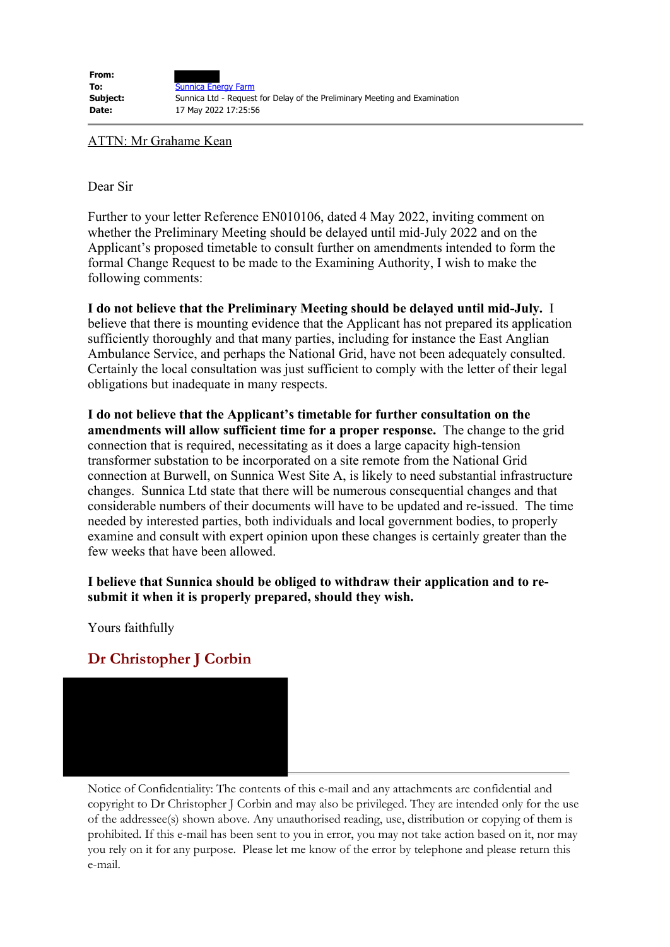ATTN: Mr Grahame Kean

Dear Sir

Further to your letter Reference EN010106, dated 4 May 2022, inviting comment on whether the Preliminary Meeting should be delayed until mid-July 2022 and on the Applicant's proposed timetable to consult further on amendments intended to form the formal Change Request to be made to the Examining Authority, I wish to make the following comments:

**I do not believe that the Preliminary Meeting should be delayed until mid-July.** I believe that there is mounting evidence that the Applicant has not prepared its application sufficiently thoroughly and that many parties, including for instance the East Anglian Ambulance Service, and perhaps the National Grid, have not been adequately consulted. Certainly the local consultation was just sufficient to comply with the letter of their legal obligations but inadequate in many respects.

**I do not believe that the Applicant's timetable for further consultation on the amendments will allow sufficient time for a proper response.** The change to the grid connection that is required, necessitating as it does a large capacity high-tension transformer substation to be incorporated on a site remote from the National Grid connection at Burwell, on Sunnica West Site A, is likely to need substantial infrastructure changes. Sunnica Ltd state that there will be numerous consequential changes and that considerable numbers of their documents will have to be updated and re-issued. The time needed by interested parties, both individuals and local government bodies, to properly examine and consult with expert opinion upon these changes is certainly greater than the few weeks that have been allowed.

## **I believe that Sunnica should be obliged to withdraw their application and to resubmit it when it is properly prepared, should they wish.**

Yours faithfully

## **Dr Christopher J Corbin**



Notice of Confidentiality: The contents of this e-mail and any attachments are confidential and copyright to Dr Christopher J Corbin and may also be privileged. They are intended only for the use of the addressee(s) shown above. Any unauthorised reading, use, distribution or copying of them is prohibited. If this e-mail has been sent to you in error, you may not take action based on it, nor may you rely on it for any purpose. Please let me know of the error by telephone and please return this e-mail.